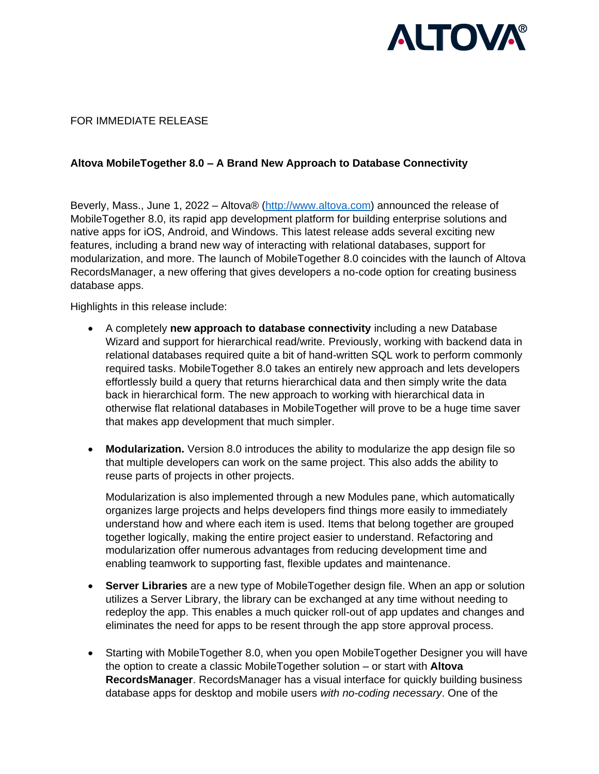

## FOR IMMEDIATE RELEASE

## **Altova MobileTogether 8.0 – A Brand New Approach to Database Connectivity**

Beverly, Mass., June 1, 2022 – Altova® [\(http://www.altova.com\)](http://www.altova.com/) announced the release of MobileTogether 8.0, its rapid app development platform for building enterprise solutions and native apps for iOS, Android, and Windows. This latest release adds several exciting new features, including a brand new way of interacting with relational databases, support for modularization, and more. The launch of MobileTogether 8.0 coincides with the launch of Altova RecordsManager, a new offering that gives developers a no-code option for creating business database apps.

Highlights in this release include:

- A completely **new approach to database connectivity** including a new Database Wizard and support for hierarchical read/write. Previously, working with backend data in relational databases required quite a bit of hand-written SQL work to perform commonly required tasks. MobileTogether 8.0 takes an entirely new approach and lets developers effortlessly build a query that returns hierarchical data and then simply write the data back in hierarchical form. The new approach to working with hierarchical data in otherwise flat relational databases in MobileTogether will prove to be a huge time saver that makes app development that much simpler.
- **Modularization.** Version 8.0 introduces the ability to modularize the app design file so that multiple developers can work on the same project. This also adds the ability to reuse parts of projects in other projects.

Modularization is also implemented through a new Modules pane, which automatically organizes large projects and helps developers find things more easily to immediately understand how and where each item is used. Items that belong together are grouped together logically, making the entire project easier to understand. Refactoring and modularization offer numerous advantages from reducing development time and enabling teamwork to supporting fast, flexible updates and maintenance.

- **Server Libraries** are a new type of MobileTogether design file. When an app or solution utilizes a Server Library, the library can be exchanged at any time without needing to redeploy the app. This enables a much quicker roll-out of app updates and changes and eliminates the need for apps to be resent through the app store approval process.
- Starting with MobileTogether 8.0, when you open MobileTogether Designer you will have the option to create a classic MobileTogether solution – or start with **Altova RecordsManager**. RecordsManager has a visual interface for quickly building business database apps for desktop and mobile users *with no-coding necessary*. One of the